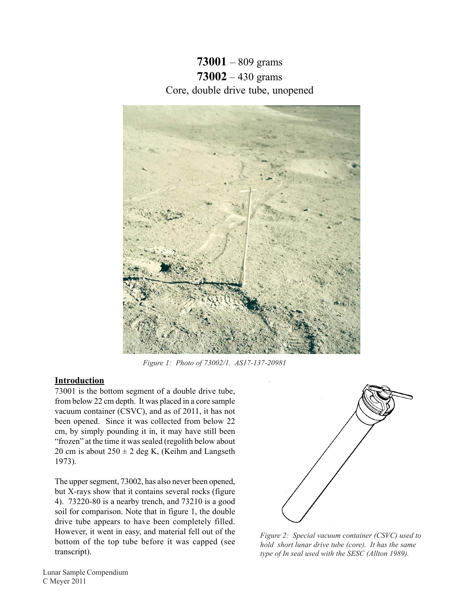**73001** – 809 grams **73002** – 430 grams Core, double drive tube, unopened



*Figure 1: Photo of 73002/1. AS17-137-20981* 

# **Introduction**

73001 is the bottom segment of a double drive tube, from below 22 cm depth. It was placed in a core sample vacuum container (CSVC), and as of 2011, it has not been opened. Since it was collected from below 22 cm, by simply pounding it in, it may have still been "frozen" at the time it was sealed (regolith below about 20 cm is about  $250 \pm 2$  deg K, (Keihm and Langseth 1973).

The upper segment, 73002, has also never been opened, but X-rays show that it contains several rocks (figure 4). 73220-80 is a nearby trench, and 73210 is a good soil for comparison. Note that in figure 1, the double drive tube appears to have been completely filled. However, it went in easy, and material fell out of the bottom of the top tube before it was capped (see transcript).



*Figure 2: Special vacuum container (CSVC) used to hold short lunar drive tube (core). It has the same type of In seal used with the SESC (Allton 1989).*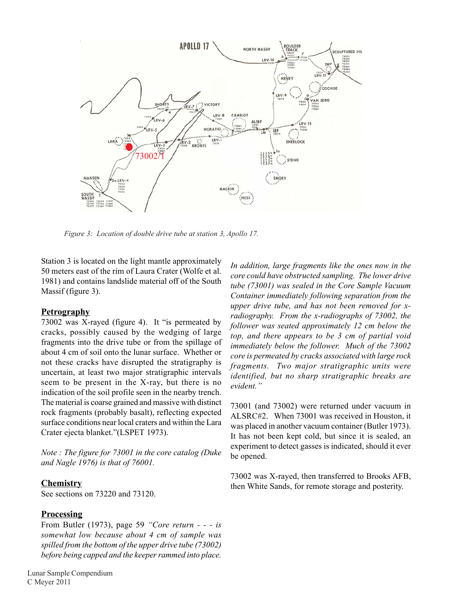

*Figure 3: Location of double drive tube at station 3, Apollo 17.* 

Station 3 is located on the light mantle approximately 50 meters east of the rim of Laura Crater (Wolfe et al. 1981) and contains landslide material off of the South Massif (figure 3).

### **Petrography**

73002 was X-rayed (figure 4). It "is permeated by cracks, possibly caused by the wedging of large fragments into the drive tube or from the spillage of about 4 cm of soil onto the lunar surface. Whether or not these cracks have disrupted the stratigraphy is uncertain, at least two major stratigraphic intervals seem to be present in the X-ray, but there is no indication of the soil profile seen in the nearby trench. The material is coarse grained and massive with distinct rock fragments (probably basalt), reflecting expected surface conditions near local craters and within the Lara Crater ejecta blanket."(LSPET 1973).

*Note : The figure for 73001 in the core catalog (Duke and Nagle 1976) is that of 76001.* 

#### **Chemistry**

See sections on 73220 and 73120.

## **Processing**

From Butler (1973), page 59 *"Core return - - - is somewhat low because about 4 cm of sample was spilled from the bottom of the upper drive tube (73002) before being capped and the keeper rammed into place.* 

*In addition, large fragments like the ones now in the core could have obstructed sampling. The lower drive tube (73001) was sealed in the Core Sample Vacuum Container immediately following separation from the upper drive tube, and has not been removed for xradiography. From the x-radiographs of 73002, the follower was seated approximately 12 cm below the top, and there appears to be 3 cm of partial void immediately below the follower. Much of the 73002 core is permeated by cracks associated with large rock fragments. Two major stratigraphic units were identified, but no sharp stratigraphic breaks are evident."* 

73001 (and 73002) were returned under vacuum in ALSRC#2. When 73001 was received in Houston, it was placed in another vacuum container (Butler 1973). It has not been kept cold, but since it is sealed, an experiment to detect gasses is indicated, should it ever be opened.

73002 was X-rayed, then transferred to Brooks AFB, then White Sands, for remote storage and posterity.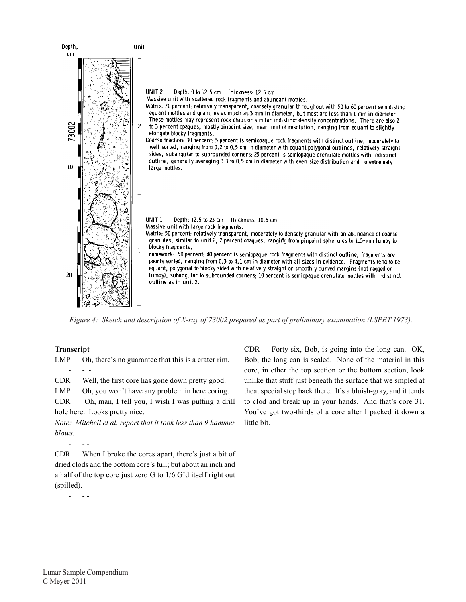

*Figure 4: Sketch and description of X-ray of 73002 prepared as part of preliminary examination (LSPET 1973).* 

### **Transcript**

- - - LMP Oh, there's no guarantee that this is a crater rim.

CDR Well, the first core has gone down pretty good.

LMP Oh, you won't have any problem in here coring.

CDR Oh, man, I tell you, I wish I was putting a drill hole here. Looks pretty nice.

*Note: Mitchell et al. report that it took less than 9 hammer blows.* 

- - -

CDR When I broke the cores apart, there's just a bit of dried clods and the bottom core's full; but about an inch and a half of the top core just zero G to 1/6 G'd itself right out (spilled).

- - -

CDR Forty-six, Bob, is going into the long can. OK, Bob, the long can is sealed. None of the material in this core, in ether the top section or the bottom section, look unlike that stuff just beneath the surface that we smpled at theat special stop back there. It's a bluish-gray, and it tends to clod and break up in your hands. And that's core 31. You've got two-thirds of a core after I packed it down a little bit.